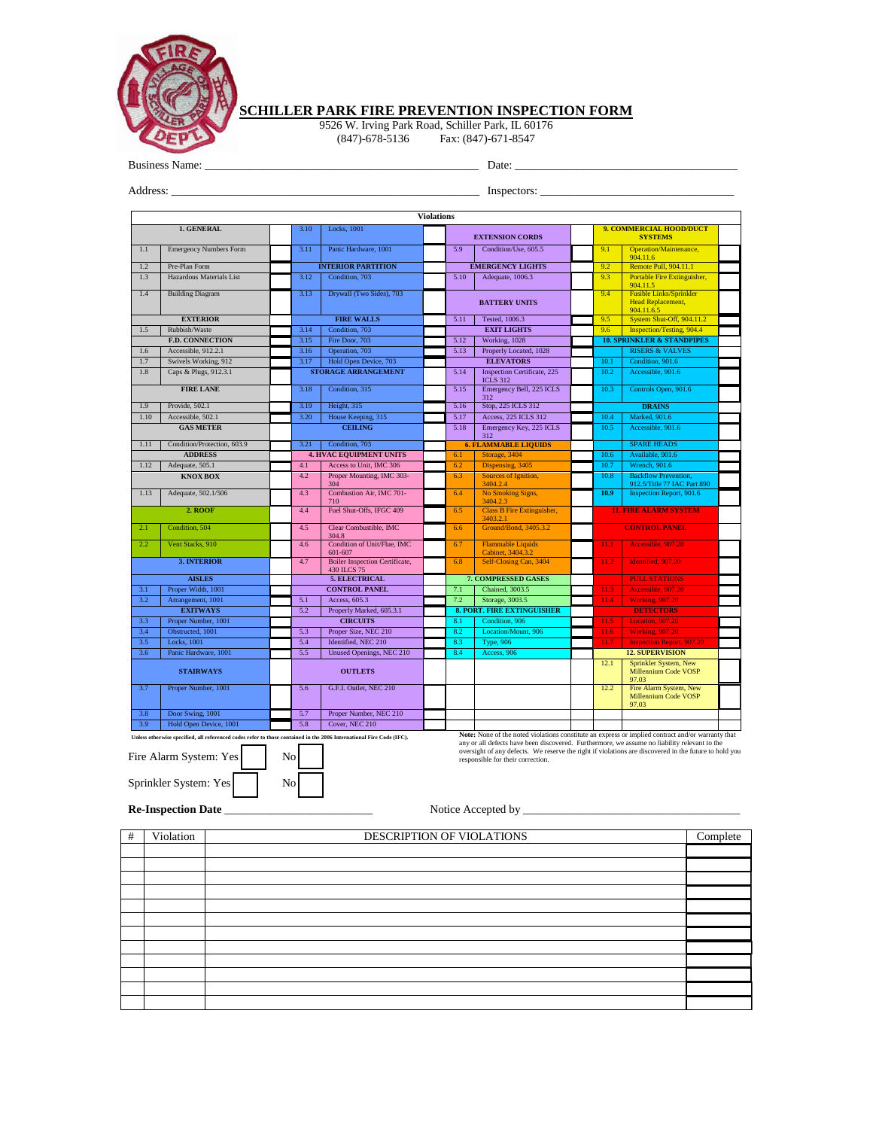

## **SCHILLER PARK FIRE PREVENTION INSPECTION FORM**

9526 W. Irving Park Road, Schiller Park, IL 60176 (847)-678-5136 Fax: (847)-671-8547

Business Name: \_\_\_\_\_\_\_\_\_\_\_\_\_\_\_\_\_\_\_\_\_\_\_\_\_\_\_\_\_\_\_\_\_\_\_\_\_\_\_\_\_\_\_\_\_\_\_\_ Date: \_\_\_\_\_\_\_\_\_\_\_\_\_\_\_\_\_\_\_\_\_\_\_\_\_\_\_\_\_\_\_\_\_\_\_\_\_\_\_

Address: \_\_\_\_\_\_\_\_\_\_\_\_\_\_\_\_\_\_\_\_\_\_\_\_\_\_\_\_\_\_\_\_\_\_\_\_\_\_\_\_\_\_\_\_\_\_\_\_\_\_\_\_\_\_ Inspectors: \_\_\_\_\_\_\_\_\_\_\_\_\_\_\_\_\_\_\_\_\_\_\_\_\_\_\_\_\_\_\_\_\_\_

| <b>Violations</b>                                                                                                                                    |                               |                            |                                                      |                        |                                   |                                                                                                                                                                                                                                                                                                                                                 |                                           |                                                                          |  |  |  |
|------------------------------------------------------------------------------------------------------------------------------------------------------|-------------------------------|----------------------------|------------------------------------------------------|------------------------|-----------------------------------|-------------------------------------------------------------------------------------------------------------------------------------------------------------------------------------------------------------------------------------------------------------------------------------------------------------------------------------------------|-------------------------------------------|--------------------------------------------------------------------------|--|--|--|
|                                                                                                                                                      | 1. GENERAL                    | 3.10<br>Locks, 1001        |                                                      | <b>EXTENSION CORDS</b> |                                   |                                                                                                                                                                                                                                                                                                                                                 | 9. COMMERCIAL HOOD/DUCT<br><b>SYSTEMS</b> |                                                                          |  |  |  |
| 1.1                                                                                                                                                  | <b>Emergency Numbers Form</b> | 3.11                       | Panic Hardware, 1001                                 |                        | 5.9                               | Condition/Use, 605.5                                                                                                                                                                                                                                                                                                                            | 9.1                                       | Operation/Maintenance,                                                   |  |  |  |
| 1.2                                                                                                                                                  | Pre-Plan Form                 |                            | <b>INTERIOR PARTITION</b>                            |                        |                                   | <b>EMERGENCY LIGHTS</b>                                                                                                                                                                                                                                                                                                                         | 9.2                                       | 904.11.6<br>Remote Pull, 904.11.1                                        |  |  |  |
| 1.3                                                                                                                                                  | Hazardous Materials List      | 3.12                       | Condition, 703                                       |                        | 5.10                              | Adequate, 1006.3                                                                                                                                                                                                                                                                                                                                | 9.3                                       | Portable Fire Extinguisher,                                              |  |  |  |
|                                                                                                                                                      |                               |                            |                                                      |                        |                                   |                                                                                                                                                                                                                                                                                                                                                 |                                           | 904.11.5                                                                 |  |  |  |
| 1.4                                                                                                                                                  | <b>Building Diagram</b>       | 3.13                       | Drywall (Two Sides), 703                             |                        |                                   | <b>BATTERY UNITS</b>                                                                                                                                                                                                                                                                                                                            | 9.4                                       | <b>Fusible Links/Sprinkler</b><br><b>Head Replacement.</b><br>904.11.6.5 |  |  |  |
|                                                                                                                                                      | <b>EXTERIOR</b>               |                            | <b>FIRE WALLS</b>                                    |                        | 5.11                              | Tested, 1006.3                                                                                                                                                                                                                                                                                                                                  | 9.5                                       | System Shut-Off, 904.11.2                                                |  |  |  |
| 1.5                                                                                                                                                  | Rubbish/Waste                 | 3.14                       | Condition, 703                                       |                        |                                   | <b>EXIT LIGHTS</b>                                                                                                                                                                                                                                                                                                                              | 9.6                                       | <b>Inspection/Testing, 904.4</b>                                         |  |  |  |
|                                                                                                                                                      | <b>F.D. CONNECTION</b>        | 3.15                       | Fire Door, 703                                       |                        | 5.12                              | Working, 1028                                                                                                                                                                                                                                                                                                                                   |                                           | <b>10. SPRINKLER &amp; STANDPIPES</b>                                    |  |  |  |
| 1.6                                                                                                                                                  | Accessible, 912.2.1           | 3.16                       | Operation, 703                                       |                        | 5.13                              | Properly Located, 1028                                                                                                                                                                                                                                                                                                                          |                                           | <b>RISERS &amp; VALVES</b>                                               |  |  |  |
| 1.7                                                                                                                                                  | Swivels Working, 912          | 3.17                       | Hold Open Device, 703                                |                        |                                   | <b>ELEVATORS</b>                                                                                                                                                                                                                                                                                                                                | 10.1                                      | Condition, 901.6                                                         |  |  |  |
| 1.8                                                                                                                                                  | Caps & Plugs, 912.3.1         | <b>STORAGE ARRANGEMENT</b> |                                                      |                        | 5.14                              | <b>Inspection Certificate</b> , 225<br><b>ICLS 312</b>                                                                                                                                                                                                                                                                                          | 10.2                                      | Accessible, 901.6                                                        |  |  |  |
|                                                                                                                                                      | <b>FIRE LANE</b>              | 3.18                       | Condition, 315                                       |                        | 5.15                              | Emergency Bell, 225 ICLS<br>312                                                                                                                                                                                                                                                                                                                 | 10.3                                      | Controls Open, 901.6                                                     |  |  |  |
| 1.9                                                                                                                                                  | Provide, 502.1                | 3.19                       | Height, 315                                          |                        | 5.16                              | Stop, 225 ICLS 312                                                                                                                                                                                                                                                                                                                              |                                           | <b>DRAINS</b>                                                            |  |  |  |
| 1.10                                                                                                                                                 | Accessible, 502.1             | 3.20                       | House Keeping, 315                                   |                        | 5.17                              | Access, 225 ICLS 312                                                                                                                                                                                                                                                                                                                            | 10.4                                      | Marked, 901.6                                                            |  |  |  |
|                                                                                                                                                      | <b>GAS METER</b>              |                            | <b>CEILING</b>                                       |                        | 5.18                              | Emergency Key, 225 ICLS<br>312                                                                                                                                                                                                                                                                                                                  | 10.5                                      | Accessible, 901.6                                                        |  |  |  |
| 1.11                                                                                                                                                 | Condition/Protection, 603.9   | 3.21                       | Condition, 703                                       |                        |                                   | <b>6. FLAMMABLE LIQUIDS</b>                                                                                                                                                                                                                                                                                                                     |                                           | <b>SPARE HEADS</b>                                                       |  |  |  |
|                                                                                                                                                      | <b>ADDRESS</b>                |                            | <b>4. HVAC EQUIPMENT UNITS</b>                       |                        | 6.1                               | Storage, 3404                                                                                                                                                                                                                                                                                                                                   | 10.6                                      | Available, 901.6                                                         |  |  |  |
| 1.12                                                                                                                                                 | Adequate, 505.1               | 4.1                        | Access to Unit, IMC 306                              |                        | 6.2                               | Dispensing, 3405                                                                                                                                                                                                                                                                                                                                | 10.7                                      | <b>Wrench</b> , 901.6                                                    |  |  |  |
|                                                                                                                                                      | <b>KNOX BOX</b>               | 4.2                        | Proper Mounting, IMC 303-<br>304                     |                        | 6.3                               | Sources of Ignition,<br>3404.2.4                                                                                                                                                                                                                                                                                                                | 10.8                                      | <b>Backflow Prevention,</b><br>912.5/Title 77 IAC Part 890               |  |  |  |
| 1.13                                                                                                                                                 | Adequate, 502.1/506           | 4.3                        | Combustion Air, IMC 701-<br>710                      |                        | 6.4                               | No Smoking Signs,<br>3404.2.3                                                                                                                                                                                                                                                                                                                   | 10.9                                      | <b>Inspection Report, 901.6</b>                                          |  |  |  |
|                                                                                                                                                      | 2. ROOF                       | 4.4                        | Fuel Shut-Offs, IFGC 409                             |                        | 6.5                               | <b>Class B Fire Extinguisher,</b><br>3403.2.1                                                                                                                                                                                                                                                                                                   |                                           | <b>11. FIRE ALARM SYSTEM</b>                                             |  |  |  |
| 2.1                                                                                                                                                  | Condition, 504                | 4.5                        | Clear Combustible, IMC<br>304.8                      |                        | 6.6                               | Ground/Bond, 3405.3.2                                                                                                                                                                                                                                                                                                                           |                                           | <b>CONTROL PANEL</b>                                                     |  |  |  |
| $2.2^{\circ}$                                                                                                                                        | Vent Stacks, 910              | 4.6                        | Condition of Unit/Flue, IMC<br>601-607               |                        | 6.7                               | <b>Flammable Liquids</b><br>Cabinet, 3404.3.2                                                                                                                                                                                                                                                                                                   | 11.1                                      | Accessible, 907.20                                                       |  |  |  |
|                                                                                                                                                      | <b>3. INTERIOR</b>            | 4.7                        | <b>Boiler Inspection Certificate,</b><br>430 ILCS 75 |                        | 6.8                               | Self-Closing Can, 3404                                                                                                                                                                                                                                                                                                                          | 11.2                                      | Identified, 907.20                                                       |  |  |  |
| <b>AISLES</b>                                                                                                                                        |                               |                            | <b>5. ELECTRICAL</b>                                 |                        |                                   | <b>7. COMPRESSED GASES</b>                                                                                                                                                                                                                                                                                                                      |                                           | <b>PULL STATIONS</b>                                                     |  |  |  |
| 3.1                                                                                                                                                  | Proper Width, 1001            |                            | <b>CONTROL PANEL</b>                                 |                        | 7.1                               | Chained, 3003.5                                                                                                                                                                                                                                                                                                                                 | 11.3                                      | Accessible, 907.20                                                       |  |  |  |
| 3.2                                                                                                                                                  | Arrangement, 1001             | 5.1                        | Access, 605.3                                        |                        | 7.2                               | Storage, 3003.5                                                                                                                                                                                                                                                                                                                                 | 11.4                                      | <b>Working, 907.20</b>                                                   |  |  |  |
| <b>EXITWAYS</b>                                                                                                                                      |                               | 5.2                        | Properly Marked, 605.3.1                             |                        | <b>8. PORT. FIRE EXTINGUISHER</b> |                                                                                                                                                                                                                                                                                                                                                 |                                           | <b>DETECTORS</b>                                                         |  |  |  |
| 3.3                                                                                                                                                  | Proper Number, 1001           |                            | <b>CIRCUITS</b>                                      |                        | 8.1                               | Condition, 906                                                                                                                                                                                                                                                                                                                                  | 11.5                                      | Location, 907.20                                                         |  |  |  |
| 3.4                                                                                                                                                  | Obstructed, 1001              | 5.3                        | Proper Size, NEC 210                                 |                        | 8.2                               | Location/Mount, 906                                                                                                                                                                                                                                                                                                                             | 11.6                                      | <b>Working</b> , 907.20                                                  |  |  |  |
| 3.5                                                                                                                                                  | Locks, 1001                   | 5.4                        | Identified, NEC 210                                  |                        | 8.3                               | <b>Type</b> , 906                                                                                                                                                                                                                                                                                                                               | 11.7                                      | <b>Inspection Report, 907.20</b>                                         |  |  |  |
| 3.6                                                                                                                                                  | Panic Hardware, 1001          | 5.5                        | Unused Openings, NEC 210                             |                        | 8.4                               | Access, 906                                                                                                                                                                                                                                                                                                                                     |                                           | <b>12. SUPERVISION</b>                                                   |  |  |  |
|                                                                                                                                                      | <b>STAIRWAYS</b>              |                            | <b>OUTLETS</b>                                       |                        |                                   |                                                                                                                                                                                                                                                                                                                                                 | 12.1                                      | Sprinkler System, New<br><b>Millennium Code VOSP</b><br>97.03            |  |  |  |
| 3.7                                                                                                                                                  | Proper Number, 1001           | 5.6                        | G.F.I. Outlet, NEC 210                               |                        |                                   |                                                                                                                                                                                                                                                                                                                                                 | 12.2                                      | Fire Alarm System, New<br><b>Millennium Code VOSP</b>                    |  |  |  |
| 3.8                                                                                                                                                  | Door Swing, 1001              | 5.7                        | Proper Number, NEC 210                               |                        |                                   |                                                                                                                                                                                                                                                                                                                                                 |                                           | 97.03                                                                    |  |  |  |
| 3.9                                                                                                                                                  | Hold Open Device, 1001        | 5.8                        | Cover, NEC 210                                       |                        |                                   |                                                                                                                                                                                                                                                                                                                                                 |                                           |                                                                          |  |  |  |
|                                                                                                                                                      |                               |                            |                                                      |                        |                                   |                                                                                                                                                                                                                                                                                                                                                 |                                           |                                                                          |  |  |  |
| Unless otherwise specified, all referenced codes refer to those contained in the 2006 International Fire Code (IFC).<br>Fire Alarm System: Yes<br>No |                               |                            |                                                      |                        |                                   | Note: None of the noted violations constitute an express or implied contract and/or warranty that<br>any or all defects have been discovered. Furthermore, we assume no liability relevant to the<br>oversight of any defects. We reserve the right if violations are discovered in the future to hold you<br>responsible for their correction. |                                           |                                                                          |  |  |  |
| Sprinkler System: Yes<br>No                                                                                                                          |                               |                            |                                                      |                        |                                   |                                                                                                                                                                                                                                                                                                                                                 |                                           |                                                                          |  |  |  |
|                                                                                                                                                      | <b>Re-Inspection Date</b>     |                            |                                                      |                        |                                   | Notice Accepted by ________                                                                                                                                                                                                                                                                                                                     |                                           |                                                                          |  |  |  |

# Violation DESCRIPTION OF VIOLATIONS Complete